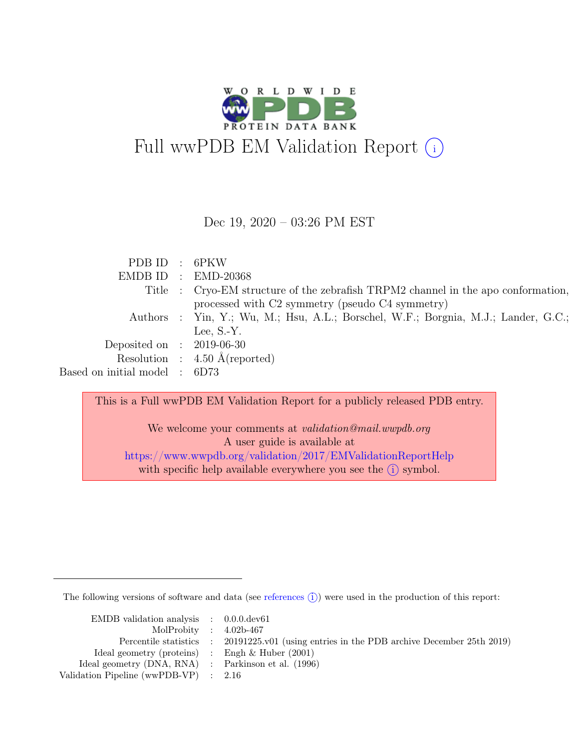

Dec 19, 2020 – 03:26 PM EST

| PDB ID : 6PKW                 |                                                                                    |
|-------------------------------|------------------------------------------------------------------------------------|
|                               | $EMDB ID$ : $EMD-20368$                                                            |
|                               | Title : Cryo-EM structure of the zebrafish TRPM2 channel in the apo conformation,  |
|                               | processed with C2 symmetry (pseudo C4 symmetry)                                    |
|                               | Authors : Yin, Y.; Wu, M.; Hsu, A.L.; Borschel, W.F.; Borgnia, M.J.; Lander, G.C.; |
|                               | Lee, $S-Y$ .                                                                       |
| Deposited on : $2019-06-30$   |                                                                                    |
|                               | Resolution : $4.50 \text{ Å}$ (reported)                                           |
| Based on initial model : 6D73 |                                                                                    |

This is a Full wwPDB EM Validation Report for a publicly released PDB entry.

We welcome your comments at *validation@mail.wwpdb.org* A user guide is available at <https://www.wwpdb.org/validation/2017/EMValidationReportHelp> with specific help available everywhere you see the  $(i)$  symbol.

The following versions of software and data (see [references](https://www.wwpdb.org/validation/2017/EMValidationReportHelp#references)  $(i)$ ) were used in the production of this report:

| EMDB validation analysis $\therefore$ 0.0.0.dev61   |                                                                                            |
|-----------------------------------------------------|--------------------------------------------------------------------------------------------|
| MolProbity : $4.02b-467$                            |                                                                                            |
|                                                     | Percentile statistics : 20191225.v01 (using entries in the PDB archive December 25th 2019) |
| Ideal geometry (proteins) : Engh $\&$ Huber (2001)  |                                                                                            |
| Ideal geometry (DNA, RNA) : Parkinson et al. (1996) |                                                                                            |
| Validation Pipeline (wwPDB-VP) : 2.16               |                                                                                            |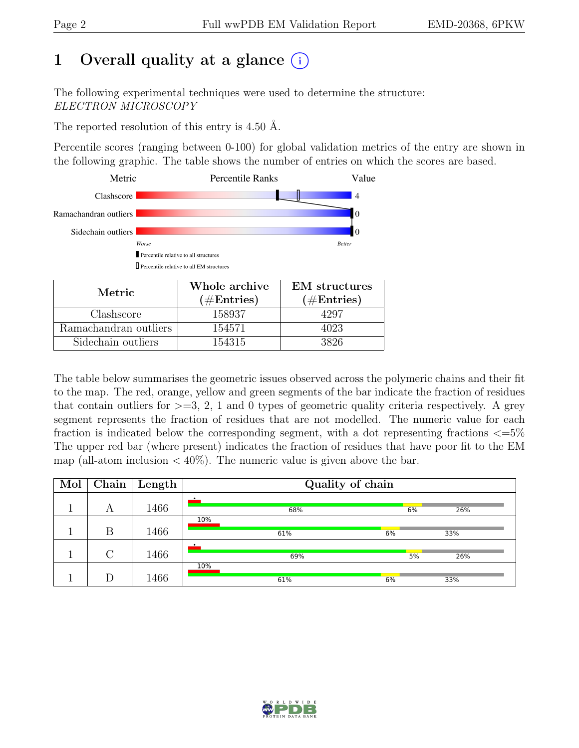## 1 Overall quality at a glance  $(i)$

The following experimental techniques were used to determine the structure: ELECTRON MICROSCOPY

The reported resolution of this entry is 4.50 Å.

Percentile scores (ranging between 0-100) for global validation metrics of the entry are shown in the following graphic. The table shows the number of entries on which the scores are based.



| Metric.               | Whole archive<br>$(\#Entries)$ | <b>EM</b> structures<br>$(\#Entries)$ |  |
|-----------------------|--------------------------------|---------------------------------------|--|
| Clashscore            | 158937                         | 1297                                  |  |
| Ramachandran outliers | 154571                         | 4023                                  |  |
| Sidechain outliers    | 154315                         | 3826                                  |  |

The table below summarises the geometric issues observed across the polymeric chains and their fit to the map. The red, orange, yellow and green segments of the bar indicate the fraction of residues that contain outliers for  $\geq$ =3, 2, 1 and 0 types of geometric quality criteria respectively. A grey segment represents the fraction of residues that are not modelled. The numeric value for each fraction is indicated below the corresponding segment, with a dot representing fractions  $\epsilon = 5\%$ The upper red bar (where present) indicates the fraction of residues that have poor fit to the EM map (all-atom inclusion  $\langle 40\% \rangle$ ). The numeric value is given above the bar.

| Mol |        | Chain   Length | Quality of chain |     |    |     |  |
|-----|--------|----------------|------------------|-----|----|-----|--|
|     | А      | 1466           |                  | 68% | 6% | 26% |  |
|     | Β      | 1466           | 10%              | 61% | 6% | 33% |  |
|     | $\cap$ | 1466           |                  | 69% | 5% | 26% |  |
|     |        | 1466           | 10%              | 61% | 6% | 33% |  |

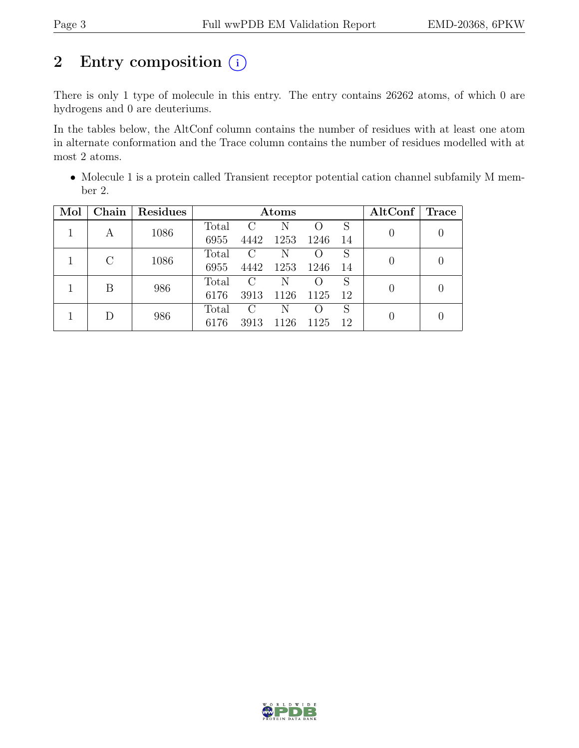## 2 Entry composition (i)

There is only 1 type of molecule in this entry. The entry contains 26262 atoms, of which 0 are hydrogens and 0 are deuteriums.

In the tables below, the AltConf column contains the number of residues with at least one atom in alternate conformation and the Trace column contains the number of residues modelled with at most 2 atoms.

• Molecule 1 is a protein called Transient receptor potential cation channel subfamily M member 2.

| Mol |         | Chain   Residues | $\rm{Atoms}$ |                |      |      | AltConf | Trace |  |
|-----|---------|------------------|--------------|----------------|------|------|---------|-------|--|
|     | A       | 1086             | Total        | $\overline{C}$ | N    |      | S       |       |  |
|     |         |                  | 6955         | 4442           | 1253 | 1246 | -14     |       |  |
|     | $\rm C$ | 1086             | Total        | $\overline{C}$ | N    |      | S       |       |  |
|     |         |                  | 6955         | 4442           | 1253 | 1246 | -14     |       |  |
|     | B       | 986              | Total        | $\overline{C}$ | N    |      | S       |       |  |
|     |         |                  | 6176         | 3913           | 1126 | 1125 | 12      |       |  |
|     | D       | 986              | Total        | $\rm C$        | N    |      | S       |       |  |
|     |         |                  | 6176         | 3913           | 1126 | 1125 | 12      |       |  |

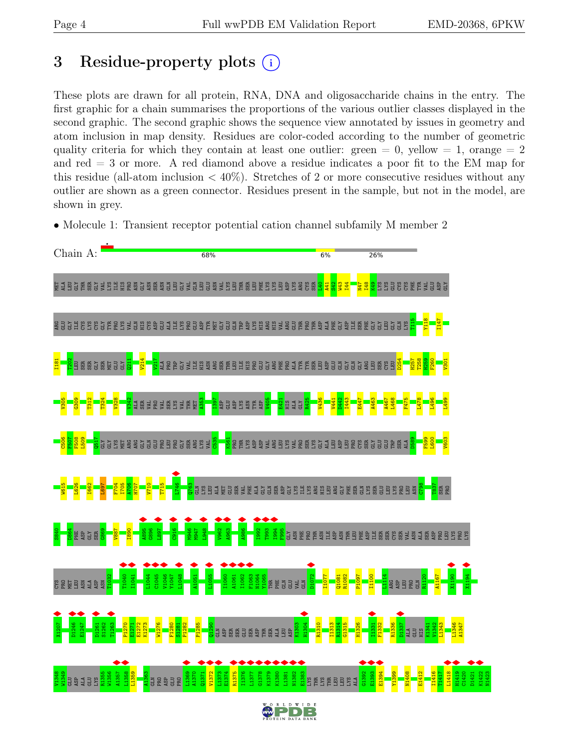## <span id="page-3-0"></span>3 Residue-property plots  $(i)$

These plots are drawn for all protein, RNA, DNA and oligosaccharide chains in the entry. The first graphic for a chain summarises the proportions of the various outlier classes displayed in the second graphic. The second graphic shows the sequence view annotated by issues in geometry and atom inclusion in map density. Residues are color-coded according to the number of geometric quality criteria for which they contain at least one outlier: green  $= 0$ , yellow  $= 1$ , orange  $= 2$ and red = 3 or more. A red diamond above a residue indicates a poor fit to the EM map for this residue (all-atom inclusion  $\langle 40\% \rangle$ ). Stretches of 2 or more consecutive residues without any outlier are shown as a green connector. Residues present in the sample, but not in the model, are shown in grey.

• Molecule 1: Transient receptor potential cation channel subfamily M member 2

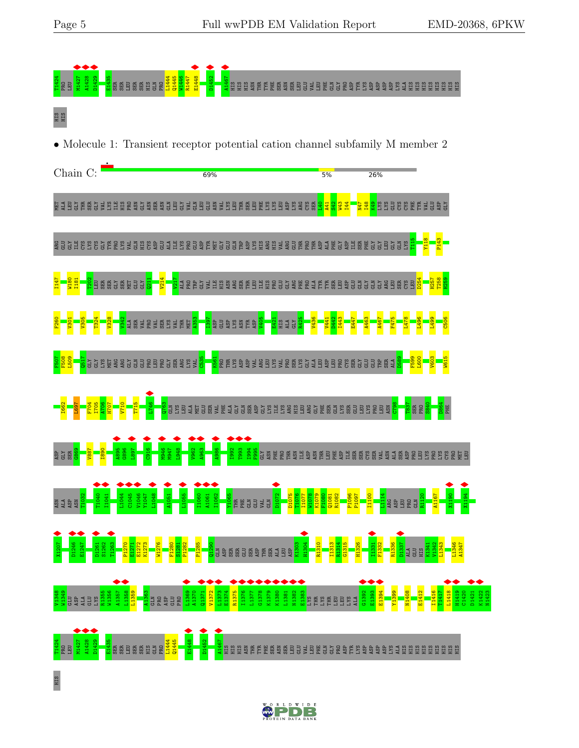

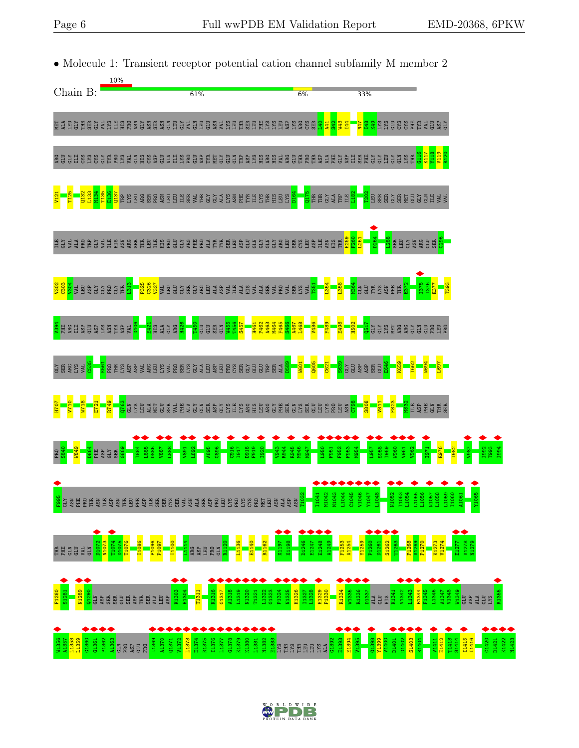

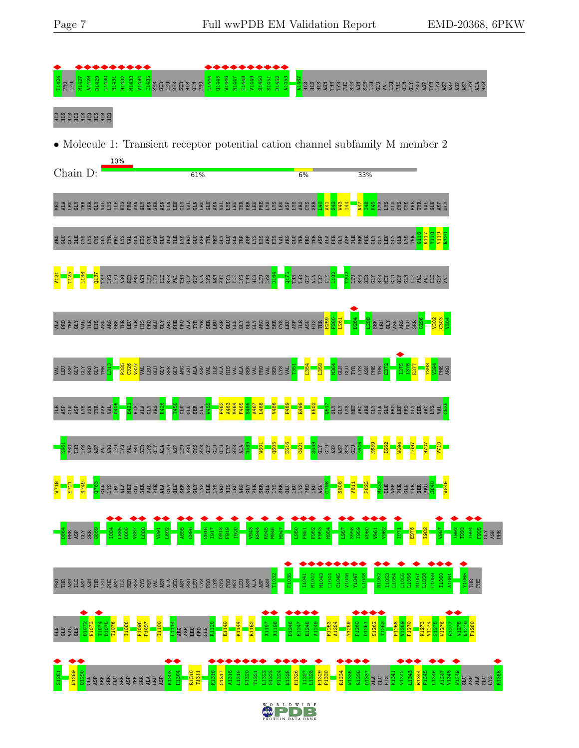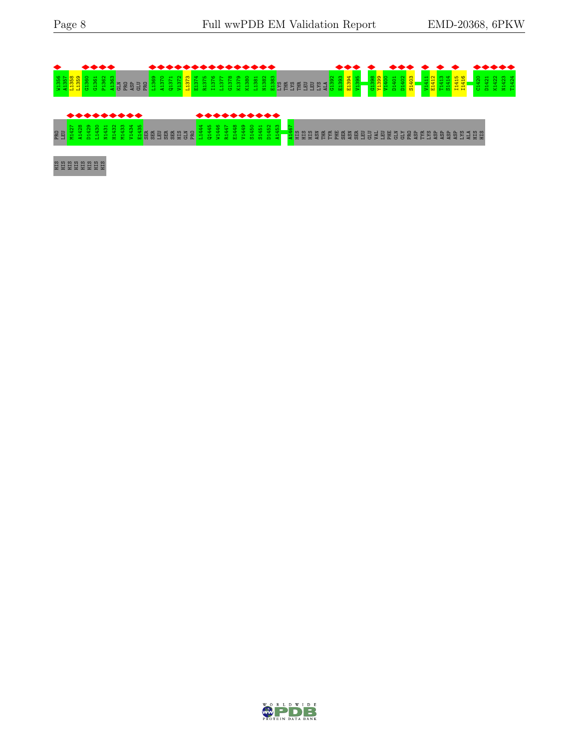

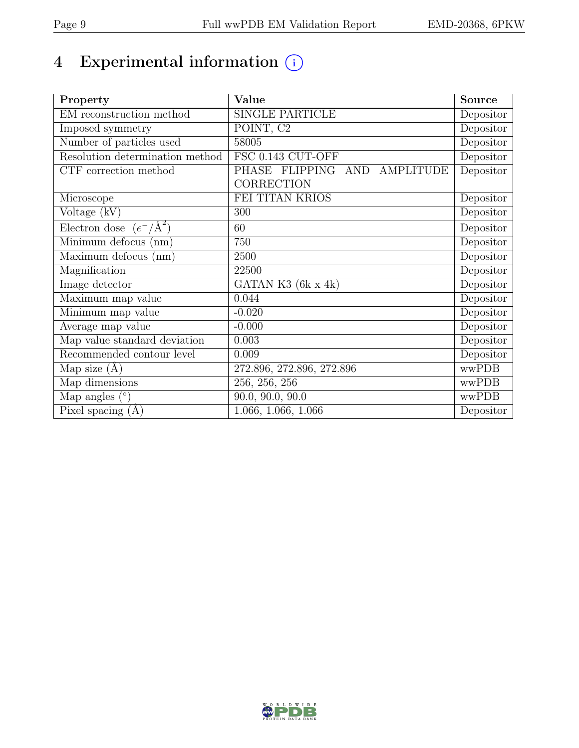# 4 Experimental information  $\bigcirc$

| Property                           | Value                           | <b>Source</b> |
|------------------------------------|---------------------------------|---------------|
| EM reconstruction method           | <b>SINGLE PARTICLE</b>          | Depositor     |
| Imposed symmetry                   | POINT, C <sub>2</sub>           | Depositor     |
| Number of particles used           | 58005                           | Depositor     |
| Resolution determination method    | FSC 0.143 CUT-OFF               | Depositor     |
| CTF correction method              | PHASE FLIPPING AND<br>AMPLITUDE | Depositor     |
|                                    | CORRECTION                      |               |
| Microscope                         | FEI TITAN KRIOS                 | Depositor     |
| Voltage (kV)                       | 300                             | Depositor     |
| Electron dose $(e^-/\text{\AA}^2)$ | 60                              | Depositor     |
| Minimum defocus (nm)               | 750                             | Depositor     |
| Maximum defocus (nm)               | 2500                            | Depositor     |
| Magnification                      | 22500                           | Depositor     |
| Image detector                     | GATAN K3 $(6k \times 4k)$       | Depositor     |
| Maximum map value                  | 0.044                           | Depositor     |
| Minimum map value                  | $-0.020$                        | Depositor     |
| Average map value                  | $-0.000$                        | Depositor     |
| Map value standard deviation       | 0.003                           | Depositor     |
| Recommended contour level          | 0.009                           | Depositor     |
| Map size $(A)$                     | 272.896, 272.896, 272.896       | wwPDB         |
| Map dimensions                     | $\overline{256, 256, 256}$      | wwPDB         |
| Map angles $(°)$                   | $\overline{90.0}$ , 90.0, 90.0  | wwPDB         |
| Pixel spacing $(A)$                | 1.066, 1.066, 1.066             | Depositor     |

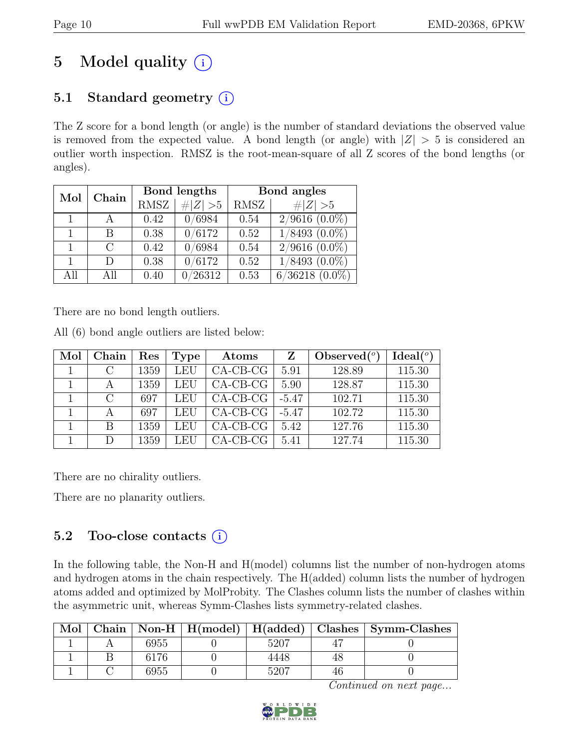## 5 Model quality  $(i)$

## 5.1 Standard geometry  $(i)$

The Z score for a bond length (or angle) is the number of standard deviations the observed value is removed from the expected value. A bond length (or angle) with  $|Z| > 5$  is considered an outlier worth inspection. RMSZ is the root-mean-square of all Z scores of the bond lengths (or angles).

| Mol | Chain         |             | Bond lengths | Bond angles |                     |  |
|-----|---------------|-------------|--------------|-------------|---------------------|--|
|     |               | <b>RMSZ</b> | # $ Z  > 5$  | RMSZ        | $\# Z >5$           |  |
| 1   |               | 0.42        | 0/6984       | 0.54        | $2/9616(0.0\%)$     |  |
|     | В             | 0.38        | 0/6172       | 0.52        | $1/8493$ $(0.0\%)$  |  |
|     | $\mathcal{C}$ | 0.42        | 0/6984       | 0.54        | $2/9616(0.0\%)$     |  |
|     | D             | 0.38        | 0/6172       | 0.52        | $1/8493$ $(0.0\%)$  |  |
| All | All           | 0.40        | /26312       | 0.53        | $6/36218$ $(0.0\%)$ |  |

There are no bond length outliers.

All (6) bond angle outliers are listed below:

| Mol | Chain                       | Res  | <b>Type</b> | Atoms      | Z       | Observed $(°)$ | Ideal <sup>(o)</sup> |
|-----|-----------------------------|------|-------------|------------|---------|----------------|----------------------|
|     | $\mathcal{C}$               | 1359 | LEU         | $CA-CB-CG$ | 5.91    | 128.89         | 115.30               |
|     |                             | 1359 | LEU         | $CA-CB-CG$ | 5.90    | 128.87         | 115.30               |
|     | $\mathcal{C}_{\mathcal{C}}$ | 697  | LEU         | $CA-CB-CG$ | $-5.47$ | 102.71         | 115.30               |
|     |                             | 697  | LEU         | $CA-CB-CG$ | $-5.47$ | 102.72         | 115.30               |
|     | В                           | 1359 | LEU         | $CA-CB-CG$ | 5.42    | 127.76         | 115.30               |
|     | D                           | 1359 | LEU         | $CA-CB-CG$ | 5.41    | 127.74         | 115.30               |

There are no chirality outliers.

There are no planarity outliers.

### 5.2 Too-close contacts  $(i)$

In the following table, the Non-H and H(model) columns list the number of non-hydrogen atoms and hydrogen atoms in the chain respectively. The H(added) column lists the number of hydrogen atoms added and optimized by MolProbity. The Clashes column lists the number of clashes within the asymmetric unit, whereas Symm-Clashes lists symmetry-related clashes.

| Mol |      |      | Chain   Non-H   H(model)   H(added)   Clashes   Symm-Clashes |
|-----|------|------|--------------------------------------------------------------|
|     | 6955 | 5207 |                                                              |
|     | 6176 | 4448 |                                                              |
|     | 6955 | 5207 |                                                              |

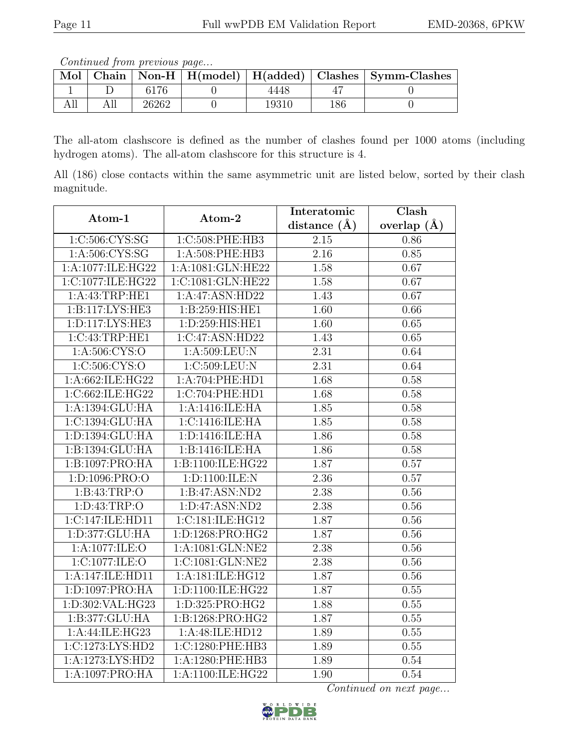Continued from previous page...

| Mol |       |       |     | Chain   Non-H   H(model)   H(added)   Clashes   Symm-Clashes |
|-----|-------|-------|-----|--------------------------------------------------------------|
|     | 6176  | 4448  |     |                                                              |
|     | 26262 | 19310 | 186 |                                                              |

The all-atom clashscore is defined as the number of clashes found per 1000 atoms (including hydrogen atoms). The all-atom clashscore for this structure is 4.

All (186) close contacts within the same asymmetric unit are listed below, sorted by their clash magnitude.

| Atom-1              | Atom-2              | Interatomic       | Clash           |
|---------------------|---------------------|-------------------|-----------------|
|                     |                     | distance $(\AA)$  | overlap $(\AA)$ |
| 1:C:506:CYS:SG      | 1:C:508:PHE:HB3     | 2.15              | 0.86            |
| 1: A:506: CYS:SG    | 1:A:508:PHE:HB3     | 2.16              | 0.85            |
| 1:A:1077:ILE:HG22   | 1:A:1081:GLN:HE22   | 1.58              | 0.67            |
| 1:C:1077:ILE:HG22   | 1:C:1081:GLN:HE22   | 1.58              | 0.67            |
| 1:A:43:TRP:HE1      | 1:A:47:ASN:HD22     | 1.43              | 0.67            |
| 1:B:117:LYS:HE3     | 1:B:259:HIS:HE1     | 1.60              | 0.66            |
| 1: D: 117: LYS: HE3 | 1:D:259:HIS:HE1     | 1.60              | 0.65            |
| 1:C:43:TRP:HE1      | 1:C:47:ASN:HD22     | 1.43              | 0.65            |
| 1:A:506:CYS:O       | 1:A:509:LEU:N       | 2.31              | 0.64            |
| 1:C:506:CYS:O       | 1:C:509:LEU:N       | 2.31              | 0.64            |
| 1:A:662:ILE:HG22    | 1:A:704:PHE:HD1     | 1.68              | 0.58            |
| 1:C:662:ILE:HG22    | 1:C:704:PHE:HD1     | 1.68              | 0.58            |
| 1:A:1394:GLU:HA     | 1:A:1416:ILE:HA     | 1.85              | 0.58            |
| 1:C:1394:GLU:HA     | 1:C:1416:ILE:HA     | 1.85              | 0.58            |
| 1:D:1394:GLU:HA     | 1:D:1416:ILE:HA     | 1.86              | 0.58            |
| 1:B:1394:GLU:HA     | 1:B:1416:ILE:HA     | 1.86              | 0.58            |
| 1:B:1097:PRO:HA     | 1:B:1100:ILE:HG22   | 1.87              | 0.57            |
| 1:D:1096:PRO:O      | 1:D:1100:ILE:N      | 2.36              | 0.57            |
| 1:B:43:TRP:O        | 1:B:47:ASN:ND2      | 2.38              | 0.56            |
| 1: D: 43: TRP: O    | 1: D:47: ASN:ND2    | $\overline{2.38}$ | 0.56            |
| 1:C:147:ILE:HD11    | 1:C:181:ILE:HG12    | 1.87              | 0.56            |
| 1: D: 377: GLU: HA  | 1:D:1268:PRO:HG2    | 1.87              | 0.56            |
| 1:A:1077:ILE:O      | $1:$ A:1081:GLN:NE2 | 2.38              | 0.56            |
| 1:C:1077:ILE:O      | 1:C:1081:GLN:NE2    | 2.38              | 0.56            |
| 1:A:147:ILE:HD11    | 1:A:181:ILE:HG12    | 1.87              | 0.56            |
| 1:D:1097:PRO:HA     | 1:D:1100:ILE:HG22   | 1.87              | 0.55            |
| 1:D:302:VAL:HG23    | 1:D:325:PRO:HG2     | 1.88              | 0.55            |
| 1:B:377:GLU:HA      | 1:B:1268:PRO:HG2    | 1.87              | 0.55            |
| 1: A:44: ILE: HG23  | 1:A:48:ILE:HD12     | 1.89              | 0.55            |
| 1:C:1273:LYS:HD2    | 1:C:1280:PHE:HB3    | 1.89              | 0.55            |
| 1:A:1273:LYS:HD2    | 1:A:1280:PHE:HB3    | 1.89              | 0.54            |
| 1:A:1097:PRO:HA     | 1:A:1100:ILE:HG22   | $\overline{1.90}$ | 0.54            |

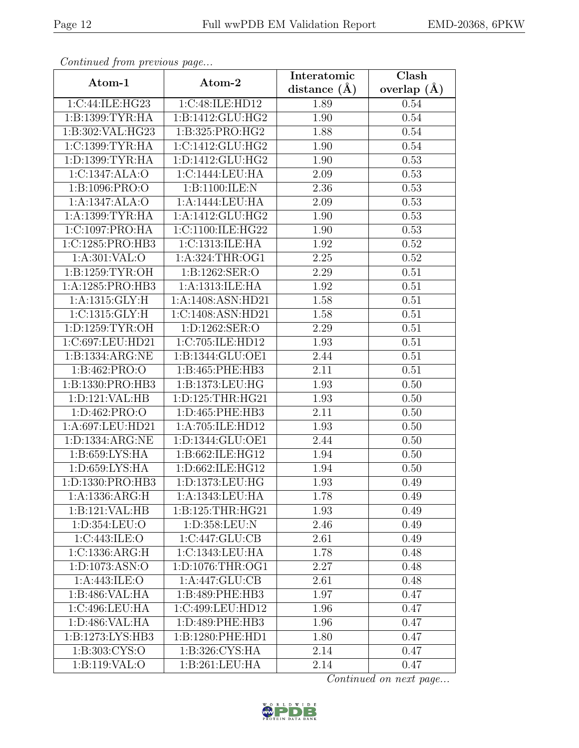| Continued from previous page                         |                    | Interatomic    | Clash         |
|------------------------------------------------------|--------------------|----------------|---------------|
| Atom-1                                               | Atom-2             | distance $(A)$ | overlap $(A)$ |
| 1:C:44:ILE:HG23                                      | 1:C:48:ILE:HD12    | 1.89           | 0.54          |
| 1:B:1399:TYR:HA                                      | 1:B:1412:GLU:HG2   | 1.90           | 0.54          |
| 1:B:302:VAL:HG23                                     | 1:B:325:PRO:HG2    | 1.88           | 0.54          |
| 1:C:1399:TYR:HA                                      | 1:C:1412:GLU:HG2   | 1.90           | 0.54          |
| 1:D:1399:TYR:HA                                      | 1:D:1412:GLU:HG2   | 1.90           | 0.53          |
| 1:C:1347:ALA:O                                       | 1:C:1444:LEU:HA    | 2.09           | 0.53          |
| 1:B:1096:PRO:O                                       | 1:B:1100:ILE:N     | 2.36           | 0.53          |
| 1:A:1347:ALA:O                                       | 1:A:1444:LEU:HA    | 2.09           | 0.53          |
| 1: A: 1399: TYR: HA                                  | 1:A:1412:GLU:HG2   | 1.90           | 0.53          |
| 1:C:1097:PRO:HA                                      | 1:C:1100:ILE:HG22  | 1.90           | 0.53          |
| 1:C:1285:PRO:HB3                                     | 1:C:1313:ILE:HA    | 1.92           | 0.52          |
| 1: A:301:VAL:O                                       | 1:A:324:THR:OG1    | 2.25           | 0.52          |
| 1:B:1259:TYR:OH                                      | 1:B:1262:SER:O     | 2.29           | 0.51          |
| 1:A:1285:PRO:HB3                                     | 1:A:1313:ILE:HA    | 1.92           | 0.51          |
| 1:A:1315:GLY:H                                       | 1:A:1408:ASN:HD21  | 1.58           | 0.51          |
| 1: C: 1315: GLY: H                                   | 1:C:1408:ASN:HD21  | 1.58           | 0.51          |
| 1:D:1259:TYR:OH                                      | 1: D: 1262: SER: O | 2.29           | 0.51          |
| 1:C:697:LEU:HD21                                     | 1:C:705:ILE:HD12   | 1.93           | 0.51          |
| 1:B:1334:ARG:NE                                      | 1:B:1344:GLU:OE1   | 2.44           | 0.51          |
| 1:B:462:PRO:O                                        | 1:B:465:PHE:HB3    | 2.11           | 0.51          |
| 1:B:1330:PRO:HB3                                     | 1:B:1373:LEU:HG    | 1.93           | 0.50          |
| 1:D:121:VAL:HB                                       | 1:D:125:THR:HG21   | 1.93           | 0.50          |
| 1:D:462:PRO:O                                        | 1:D:465:PHE:HB3    | 2.11           | 0.50          |
| 1:A:697:LEU:HD21                                     | 1:A:705:ILE:HD12   | 1.93           | 0.50          |
| 1:D:1334:ARG:NE                                      | 1:D:1344:GLU:OE1   | 2.44           | 0.50          |
| 1:B:659:LYS:HA                                       | 1:B:662:ILE:HG12   | 1.94           | 0.50          |
| 1: D:659: LYS: HA                                    | 1:D:662:ILE:HG12   | 1.94           | 0.50          |
| 1:D:1330:PRO:HB3                                     | 1:D:1373:LEU:HG    | 1.93           | 0.49          |
| 1:A:1336:ARG:H                                       | 1:A:1343:LEU:HA    | 1.78           | 0.49          |
| 1:B:121:VAL:HB                                       | 1:B:125:THR:HG21   | 1.93           | 0.49          |
| 1:D:354:LEU:O                                        | 1:D:358:LEU:N      | 2.46           | 0.49          |
| 1:C:443:ILE:O                                        | 1:C:447:GLU:CB     | 2.61           | 0.49          |
| 1:C:1336:ARG:H                                       | 1:C:1343:LEU:HA    | 1.78           | 0.48          |
| 1: D: 1073: ASN: O                                   | 1:D:1076:THR:OG1   | 2.27           | 0.48          |
| 1: A:443: ILE: O                                     | 1:A:447:GLU:CB     | 2.61           | 0.48          |
| 1:B:486:VAL:HA                                       | 1:B:489:PHE:HB3    | 1.97           | 0.47          |
| 1:C:496:LEU:HA                                       | 1:C:499:LEU:HD12   | 1.96           | 0.47          |
| 1:D:486:VAL:HA                                       | 1:D:489:PHE:HB3    | 1.96           | 0.47          |
| 1:B:1273:LYS:HB3                                     | 1:B:1280:PHE:HD1   | 1.80           | 0.47          |
| $1: B: 303: \overline{\text{C} \text{YS}: \text{O}}$ | 1:B:326:CYS:HA     | 2.14           | 0.47          |
| 1:B:119:VAL:O                                        | 1:B:261:LEU:HA     | 2.14           | 0.47          |

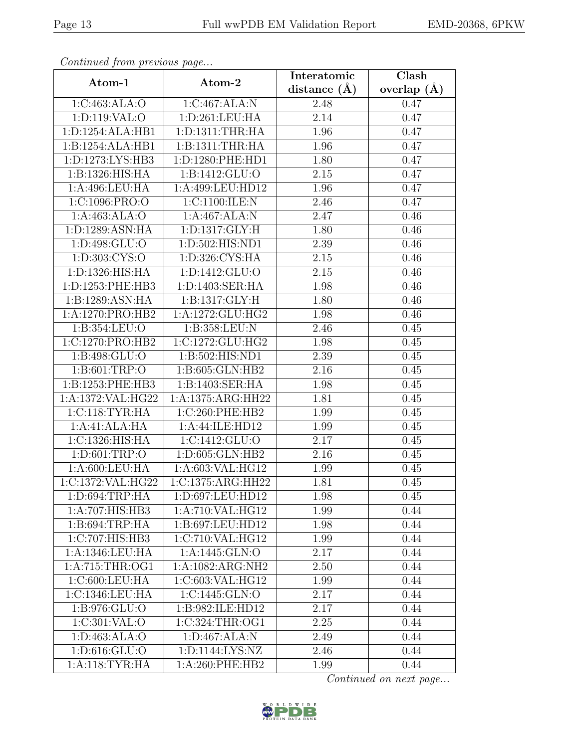| Continued from previous page         |                     | Interatomic    | Clash         |
|--------------------------------------|---------------------|----------------|---------------|
| Atom-1                               | Atom-2              | distance $(A)$ | overlap $(A)$ |
| 1:C:463:ALA:O                        | 1:C:467:ALA:N       | 2.48           | 0.47          |
| 1:D:119:VAL:O                        | 1: D:261:LEU:HA     | 2.14           | 0.47          |
| 1:D:1254:ALA:HB1                     | 1: D: 1311: THR: HA | 1.96           | 0.47          |
| 1:B:1254:ALA:HB1                     | 1:B:1311:THR:HA     | 1.96           | 0.47          |
| 1:D:1273:LYS:HB3                     | 1:D:1280:PHE:HD1    | 1.80           | 0.47          |
| 1:B:1326:HIS:HA                      | 1:B:1412:GLU:O      | 2.15           | 0.47          |
| 1:A:496:LEU:HA                       | 1:A:499:LEU:HD12    | 1.96           | 0.47          |
| $1:C:1096:P\overline{\mathrm{RO:O}}$ | 1:C:1100:ILE:N      | 2.46           | 0.47          |
| 1:A:463:ALA:O                        | 1:A:467:ALA:N       | 2.47           | 0.46          |
| 1:D:1289:ASN:HA                      | 1:D:1317:GLY:H      | 1.80           | 0.46          |
| 1:D:498:GLU:O                        | 1:D:502:HIS:ND1     | 2.39           | 0.46          |
| 1: D: 303: CYS:O                     | 1: D: 326: CYS: HA  | 2.15           | 0.46          |
| 1:D:1326:HIS:HA                      | 1:D:1412:GLU:O      | $2.15\,$       | 0.46          |
| 1:D:1253:PHE:HB3                     | 1:D:1403:SER:HA     | 1.98           | 0.46          |
| 1:B:1289:ASN:HA                      | 1: B: 1317: GLY: H  | 1.80           | 0.46          |
| 1:A:1270:PRO:HB2                     | 1:A:1272:GLU:HG2    | 1.98           | 0.46          |
| 1:B:354:LEU:O                        | 1:B:358:LEU:N       | 2.46           | 0.45          |
| 1:C:1270:PRO:HB2                     | 1:C:1272:GLU:HG2    | 1.98           | 0.45          |
| 1:B:498:GLU:O                        | 1:B:502:HIS:ND1     | 2.39           | 0.45          |
| 1: B:601:TRP:O                       | 1:B:605:GLN:HB2     | 2.16           | 0.45          |
| 1:B:1253:PHE:HB3                     | 1:B:1403:SER:HA     | 1.98           | 0.45          |
| 1:A:1372:VAL:HG22                    | 1:A:1375:ARG:HH22   | 1.81           | 0.45          |
| 1:C:118:TYR:HA                       | 1:C:260:PHE:HB2     | 1.99           | 0.45          |
| 1:A:41:ALA:HA                        | 1:A:44:ILE:HD12     | 1.99           | 0.45          |
| 1:C:1326:HIS:HA                      | 1:C:1412:GLU:O      | 2.17           | 0.45          |
| 1: D:601:TRP:O                       | 1:D:605:GLN:HB2     | 2.16           | 0.45          |
| 1:A:600:LEU:HA                       | 1:A:603:VAL:HG12    | 1.99           | 0.45          |
| 1:C:1372:VAL:HG22                    | 1:C:1375:ARG:HH22   | 1.81           | 0.45          |
| 1: D:694:TRP:HA                      | 1:D:697:LEU:HD12    | 1.98           | 0.45          |
| 1:A:707:HIS:HB3                      | 1:A:710:VAL:HG12    | 1.99           | 0.44          |
| 1: B:694:TRP:HA                      | 1:B:697:LEU:HD12    | 1.98           | 0.44          |
| 1:C:707:HIS:HB3                      | 1:C:710:VAL:HG12    | 1.99           | 0.44          |
| 1:A:1346:LEU:HA                      | 1:A:1445:GLN:O      | 2.17           | 0.44          |
| 1:A:715:THR:OG1                      | 1:A:1082:ARG:NH2    | 2.50           | 0.44          |
| 1:C:600:LEU:HA                       | 1:C:603:VAL:HG12    | 1.99           | 0.44          |
| 1:C:1346:LEU:HA                      | 1:C:1445:GLN:O      | 2.17           | 0.44          |
| 1:B:976:GLU:O                        | 1:B:982:ILE:HD12    | 2.17           | 0.44          |
| 1:C:301:VAL:O                        | 1:C:324:THR:OG1     | 2.25           | 0.44          |
| 1: D: 463: ALA: O                    | 1: D: 467: ALA: N   | 2.49           | 0.44          |
| 1:D:616:GLU:O                        | 1:D:1144:LYS:NZ     | 2.46           | 0.44          |
| 1:A:118:TYR:HA                       | 1:A:260:PHE:HB2     | 1.99           | 0.44          |

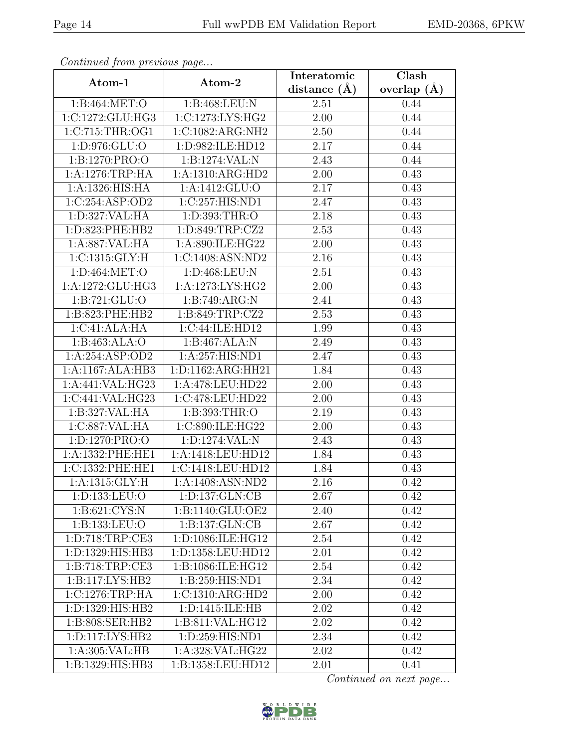| Continuati jibin protibus puga |                                         | Interatomic    | $\overline{\text{Clash}}$ |
|--------------------------------|-----------------------------------------|----------------|---------------------------|
| Atom-1                         | Atom-2                                  | distance $(A)$ | overlap $(A)$             |
| 1:B:464:MET:O                  | 1:B:468:LEU:N                           | 2.51           | 0.44                      |
| 1:C:1272:GLU:HG3               | 1:C:1273:LYS:HG2                        | 2.00           | 0.44                      |
| 1:C:715:THR:OG1                | 1:C:1082:ARG:NH2                        | 2.50           | 0.44                      |
| 1:D:976:GLU:O                  | 1:D:982:ILE:HD12                        | 2.17           | 0.44                      |
| 1:B:1270:PRO:O                 | 1:B:1274:VAL:N                          | 2.43           | 0.44                      |
| 1: A:1276:TRP:HA               | 1:A:1310:ARG:HD2                        | 2.00           | 0.43                      |
| 1:A:1326:HIS:HA                | 1:A:1412:GLU:O                          | 2.17           | 0.43                      |
| 1:C:254:ASP:OD2                | $1:\overline{C}:257:\overline{HIS}:ND1$ | 2.47           | 0.43                      |
| 1: D: 327: VAL: HA             | 1: D: 393: THR:O                        | 2.18           | 0.43                      |
| 1:D:823:PHE:HB2                | 1:D:849:TRP:CZ2                         | 2.53           | 0.43                      |
| 1:A:887:VAL:HA                 | 1:A:890:ILE:HG22                        | 2.00           | 0.43                      |
| 1:C:1315:GLY:H                 | 1:C:1408:ASN:ND2                        | 2.16           | 0.43                      |
| 1:D:464:MET:O                  | 1:D:468:LEU:N                           | 2.51           | 0.43                      |
| 1:A:1272:GLU:HG3               | 1:A:1273:LYS:HG2                        | 2.00           | 0.43                      |
| 1:B:721:GLU:O                  | 1:B:749:ARG:N                           | 2.41           | 0.43                      |
| 1:B:823:PHE:HB2                | 1:B:849:TRP:CZ2                         | 2.53           | 0.43                      |
| 1:C:41:ALA:HA                  | 1:C:44:ILE:HD12                         | 1.99           | 0.43                      |
| 1:B:463:ALA:O                  | 1:B:467:ALA:N                           | 2.49           | 0.43                      |
| 1:A:254:ASP:OD2                | 1:A:257:HIS:ND1                         | 2.47           | 0.43                      |
| 1:A:1167:ALA:HB3               | 1:D:1162:ARG:HH21                       | 1.84           | 0.43                      |
| 1:A:441:VAL:HG23               | 1:A:478:LEU:HD22                        | 2.00           | 0.43                      |
| 1:C:441:VAL:HG23               | 1:C:478:LEU:HD22                        | 2.00           | 0.43                      |
| 1:B:327:VAL:HA                 | 1:B:393:THR:O                           | 2.19           | 0.43                      |
| 1:C:887:VAL:HA                 | 1:C:890:ILE:HG22                        | 2.00           | 0.43                      |
| 1:D:1270:PRO:O                 | 1:D:1274:VAL:N                          | 2.43           | 0.43                      |
| 1:A:1332:PHE:HE1               | 1:A:1418:LEU:HD12                       | 1.84           | 0.43                      |
| 1:C:1332:PHE:HE1               | 1:C:1418:LEU:HD12                       | 1.84           | 0.43                      |
| 1: A: 1315: GLY: H             | 1:A:1408:ASN:ND2                        | 2.16           | 0.42                      |
| 1:D:133:LEU:O                  | 1: D: 137: GLN: CB                      | 2.67           | 0.42                      |
| 1:B:621:CYS:N                  | 1:B:1140:GLU:OE2                        | 2.40           | 0.42                      |
| 1:B:133:LEU:O                  | 1: B: 137: GLN: CB                      | 2.67           | 0.42                      |
| 1: D: 718: TRP: CE3            | 1:D:1086:ILE:HG12                       | 2.54           | 0.42                      |
| 1:D:1329:HIS:HB3               | 1:D:1358:LEU:HD12                       | 2.01           | 0.42                      |
| 1:B:718:TRP:CE3                | 1:B:1086:ILE:HG12                       | $2.54\,$       | 0.42                      |
| 1:B:117:LYS:HB2                | 1:B:259:HIS:ND1                         | 2.34           | 0.42                      |
| 1:C:1276:TRP:HA                | 1:C:1310:ARG:HD2                        | 2.00           | 0.42                      |
| 1:D:1329:HIS:HB2               | 1: D: 1415: ILE: HB                     | 2.02           | 0.42                      |
| 1:B:808:SER:HB2                | 1:B:811:VAL:HG12                        | 2.02           | 0.42                      |
| 1: D: 117: LYS: HB2            | 1: D: 259: HIS: ND1                     | 2.34           | 0.42                      |
| 1: A:305: VAL: HB              | 1:A:328:VAL:HG22                        | 2.02           | 0.42                      |
| 1:B:1329:HIS:HB3               | 1:B:1358:LEU:HD12                       | 2.01           | 0.41                      |

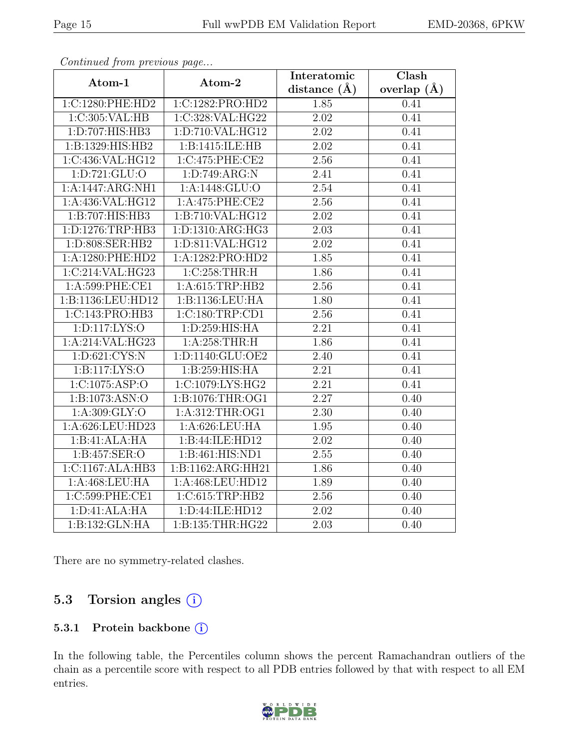| Continued from previous page |                   | Interatomic       | $\overline{\text{Clash}}$ |
|------------------------------|-------------------|-------------------|---------------------------|
| Atom-1                       | Atom-2            | distance $(\AA)$  | overlap $(A)$             |
| 1:C:1280:PHE:HD2             | 1:C:1282:PRO:HD2  | 1.85              | 0.41                      |
| 1:C:305:VAL:HB               | 1:C:328:VAL:HG22  | $\overline{2.02}$ | 0.41                      |
| 1: D: 707: HIS: HB3          | 1:D:710:VAL:HG12  | 2.02              | 0.41                      |
| 1:B:1329:HIS:HB2             | 1:B:1415:ILE:HB   | 2.02              | 0.41                      |
| 1:C:436:VAL:HG12             | 1:C:475:PHE:CE2   | 2.56              | 0.41                      |
| 1:D:721:GLU:O                | 1:D:749:ARG:N     | $\overline{2.41}$ | 0.41                      |
| 1:A:1447:ARG:NH1             | 1:A:1448:GLU:O    | 2.54              | 0.41                      |
| 1:A:436:VAL:HG12             | 1:A:475:PHE:CE2   | 2.56              | 0.41                      |
| 1:B:707:HIS:HB3              | 1:B:710:VAL:HG12  | 2.02              | 0.41                      |
| 1:D:1276:TRP:HB3             | 1:D:1310:ARG:HG3  | 2.03              | 0.41                      |
| 1:D:808:SER:HB2              | 1:D:811:VAL:HG12  | 2.02              | 0.41                      |
| 1:A:1280:PHE:HD2             | 1:A:1282:PRO:HD2  | 1.85              | 0.41                      |
| 1:C:214:VAL:HG23             | 1:C:258:THR:H     | 1.86              | 0.41                      |
| 1:A:599:PHE:CE1              | 1:A:615:TRP:HB2   | 2.56              | 0.41                      |
| 1:B:1136:LEU:HD12            | 1:B:1136:LEU:HA   | 1.80              | 0.41                      |
| 1:C:143:PRO:HB3              | 1:C:180:TRP:CD1   | 2.56              | 0.41                      |
| 1: D: 117: LYS: O            | 1:D:259:HIS:HA    | 2.21              | 0.41                      |
| 1:A:214:VAL:HG23             | 1: A:258:THR:H    | 1.86              | 0.41                      |
| 1: D:621: CYS:N              | 1:D:1140:GLU:OE2  | $\overline{2.40}$ | 0.41                      |
| 1:Bi117:LYS:O                | 1:B:259:HIS:HA    | 2.21              | 0.41                      |
| 1:C:1075:ASP:O               | 1:C:1079:LYS:HG2  | 2.21              | 0.41                      |
| 1:B:1073:ASN:O               | 1:B:1076:THR:OG1  | $\overline{2.27}$ | 0.40                      |
| 1:A:309:GLY:O                | 1:A:312:THR:OG1   | $\overline{2.30}$ | 0.40                      |
| 1:A:626:LEU:HD23             | 1: A:626: LEU: HA | $\overline{1.95}$ | 0.40                      |
| 1:B:41:ALA:HA                | 1:B:44:ILE:HD12   | 2.02              | 0.40                      |
| 1:B:457:SER:O                | 1:B:461:HIS:ND1   | 2.55              | 0.40                      |
| 1:C:1167:ALA:HB3             | 1:B:1162:ARG:HH21 | 1.86              | 0.40                      |
| 1:A:468:LEU:HA               | 1:A:468:LEU:HD12  | 1.89              | 0.40                      |
| 1:C:599:PHE:CE1              | 1:C:615:TRP:HB2   | 2.56              | 0.40                      |
| 1: D: 41: ALA: HA            | 1:D:44:ILE:HD12   | 2.02              | 0.40                      |
| 1:B:132:GLN:HA               | 1:B:135:THR:HG22  | $\overline{2.03}$ | 0.40                      |

There are no symmetry-related clashes.

### 5.3 Torsion angles (i)

#### 5.3.1 Protein backbone (i)

In the following table, the Percentiles column shows the percent Ramachandran outliers of the chain as a percentile score with respect to all PDB entries followed by that with respect to all EM entries.

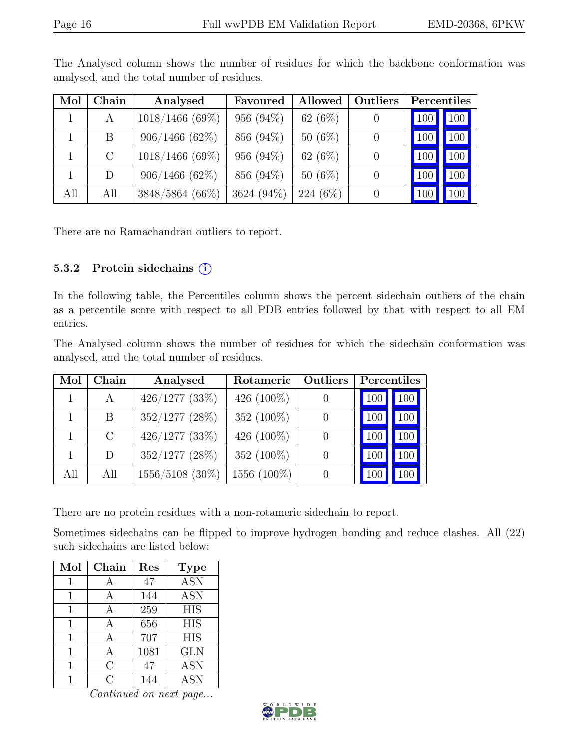| Mol | Chain   | Analysed          | Favoured      | Allowed    | <b>Outliers</b> |                  | Percentiles |
|-----|---------|-------------------|---------------|------------|-----------------|------------------|-------------|
|     | A       | $1018/1466$ (69%) | 956 $(94\%)$  | 62 $(6\%)$ |                 | 100              | 100         |
|     | B.      | $906/1466(62\%)$  | 856 (94%)     | $50(6\%)$  |                 | 100 <sup>1</sup> | 100         |
|     | $\rm C$ | $1018/1466$ (69%) | 956 $(94\%)$  | 62 $(6\%)$ |                 | 100              | 100         |
|     | D       | 906/1466(62%)     | 856 (94%)     | $50(6\%)$  |                 | 100              | 100         |
| All | All     | 3848/5864 (66%)   | 3624 $(94\%)$ | $224(6\%)$ |                 | 100              | 100         |

The Analysed column shows the number of residues for which the backbone conformation was analysed, and the total number of residues.

There are no Ramachandran outliers to report.

#### 5.3.2 Protein sidechains (i)

In the following table, the Percentiles column shows the percent sidechain outliers of the chain as a percentile score with respect to all PDB entries followed by that with respect to all EM entries.

The Analysed column shows the number of residues for which the sidechain conformation was analysed, and the total number of residues.

| Mol | Chain         | Analysed            | Rotameric     | <b>Outliers</b>  | Percentiles |     |
|-----|---------------|---------------------|---------------|------------------|-------------|-----|
|     | A             | $426/1277$ (33%)    | 426 $(100\%)$ | $\cup$           | 100         | 100 |
|     | B             | $352/1277$ $(28\%)$ | 352 (100%)    | $\theta$         | 100         | 100 |
|     | $\mathcal{C}$ | $426/1277$ $(33\%)$ | 426 $(100\%)$ | $\left( \right)$ | 100         | 100 |
|     | D             | $352/1277$ $(28\%)$ | 352 (100%)    | $\theta$         | 100         | 100 |
| All | All           | $1556/5108$ (30%)   | 1556 (100\%)  |                  |             |     |

There are no protein residues with a non-rotameric sidechain to report.

Sometimes sidechains can be flipped to improve hydrogen bonding and reduce clashes. All (22) such sidechains are listed below:

| Mol | Chain | Res  | <b>Type</b>      |
|-----|-------|------|------------------|
| 1   |       | 47   | <b>ASN</b>       |
| 1   | А     | 144  | <b>ASN</b>       |
| 1   | А     | 259  | <b>HIS</b>       |
| 1   | A     | 656  | <b>HIS</b>       |
| 1   |       | 707  | $\overline{HIS}$ |
| 1   |       | 1081 | <b>GLN</b>       |
| 1   | С     | 47   | <b>ASN</b>       |
|     | ( )   | 144  | <b>ASN</b>       |

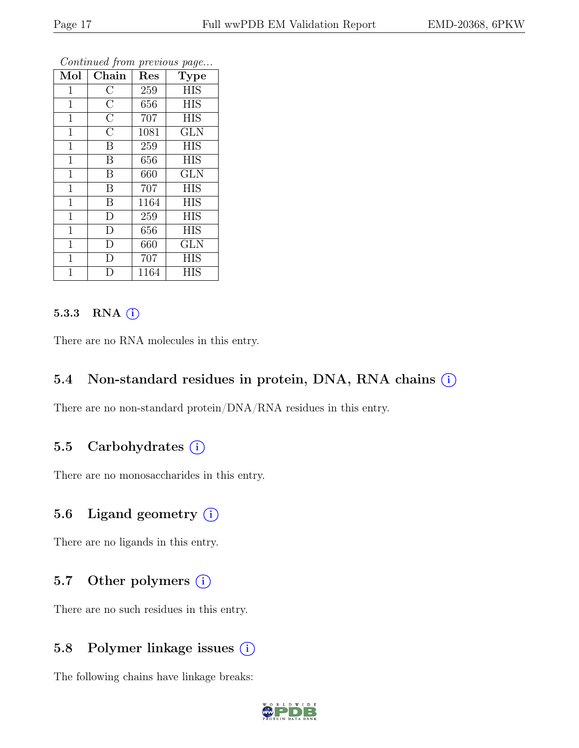| Mol            | Chain              | Res  | $\overline{ }$<br>$\cdot$<br>Type |
|----------------|--------------------|------|-----------------------------------|
| $\mathbf{1}$   | $\overline{\rm C}$ | 259  | <b>HIS</b>                        |
| $\mathbf{1}$   | $\overline{\rm C}$ | 656  | <b>HIS</b>                        |
| $\mathbf{1}$   | $\overline{\rm C}$ | 707  | <b>HIS</b>                        |
| $\mathbf{1}$   | $\overline{\rm C}$ | 1081 | <b>GLN</b>                        |
| $\mathbf{1}$   | B                  | 259  | <b>HIS</b>                        |
| 1              | B                  | 656  | <b>HIS</b>                        |
| $\mathbf{1}$   | B                  | 660  | <b>GLN</b>                        |
| $\mathbf{1}$   | B                  | 707  | <b>HIS</b>                        |
| $\mathbf{1}$   | B                  | 1164 | <b>HIS</b>                        |
| $\mathbf{1}$   | $\overline{\rm D}$ | 259  | <b>HIS</b>                        |
| $\mathbf{1}$   | D                  | 656  | <b>HIS</b>                        |
| $\mathbf{1}$   | D                  | 660  | <b>GLN</b>                        |
| $\mathbf{1}$   | D                  | 707  | <b>HIS</b>                        |
| $\overline{1}$ | D                  | 1164 | <b>HIS</b>                        |

#### 5.3.3 RNA  $(i)$

There are no RNA molecules in this entry.

#### 5.4 Non-standard residues in protein, DNA, RNA chains  $(i)$

There are no non-standard protein/DNA/RNA residues in this entry.

#### 5.5 Carbohydrates (i)

There are no monosaccharides in this entry.

### 5.6 Ligand geometry  $(i)$

There are no ligands in this entry.

### 5.7 Other polymers  $(i)$

There are no such residues in this entry.

### 5.8 Polymer linkage issues  $(i)$

The following chains have linkage breaks:

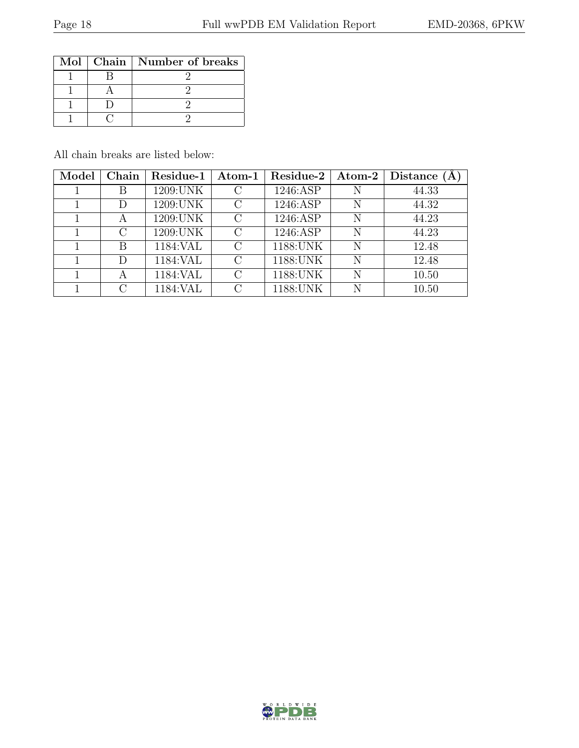|  | Mol   Chain   Number of breaks |
|--|--------------------------------|
|  |                                |
|  |                                |
|  |                                |
|  |                                |

All chain breaks are listed below:

| Model | Chain         | Residue-1 | $\boldsymbol{\mathrm{Atom}\text{-}1}$ | Residue-2 | $\boldsymbol{\mathrm{Atom}\text{-}2}$ | Distance |
|-------|---------------|-----------|---------------------------------------|-----------|---------------------------------------|----------|
|       | Β             | 1209:UNK  |                                       | 1246:ASP  | N                                     | 44.33    |
|       | D             | 1209:UNK  | $\mathcal{C}_{\mathcal{C}}$           | 1246:ASP  | N                                     | 44.32    |
|       | А             | 1209:UNK  | $\mathcal{C}_{\mathcal{C}}$           | 1246:ASP  | N                                     | 44.23    |
|       | $\mathcal{C}$ | 1209:UNK  | $\mathcal{C}_{\mathcal{C}}$           | 1246:ASP  | N                                     | 44.23    |
|       | B             | 1184:VAL  | $\bigcap$                             | 1188: UNK | N                                     | 12.48    |
|       | D             | 1184: VAL | $\cap$                                | 1188: UNK | N                                     | 12.48    |
|       | А             | 1184: VAL | $\cap$                                | 1188: UNK | N                                     | 10.50    |
|       | C             | 1184:VAL  | $\mathfrak{g}$                        | 1188: UNK | N                                     | 10.50    |

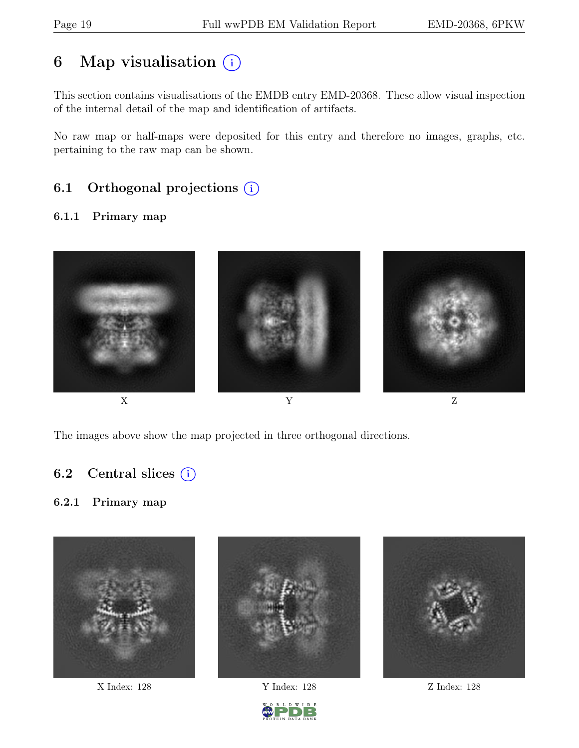## 6 Map visualisation  $(i)$

This section contains visualisations of the EMDB entry EMD-20368. These allow visual inspection of the internal detail of the map and identification of artifacts.

No raw map or half-maps were deposited for this entry and therefore no images, graphs, etc. pertaining to the raw map can be shown.

## 6.1 Orthogonal projections  $(i)$

#### 6.1.1 Primary map



The images above show the map projected in three orthogonal directions.

### 6.2 Central slices  $(i)$

#### 6.2.1 Primary map



X Index: 128 Y Index: 128 Z Index: 128



D W I D E

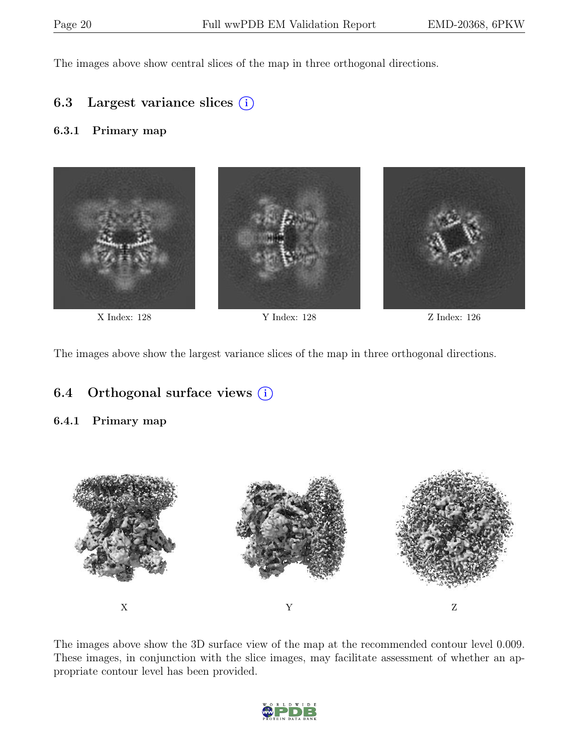The images above show central slices of the map in three orthogonal directions.

### 6.3 Largest variance slices  $(i)$

#### 6.3.1 Primary map



X Index: 128 Y Index: 128 Z Index: 126

The images above show the largest variance slices of the map in three orthogonal directions.

### 6.4 Orthogonal surface views  $(i)$

#### 6.4.1 Primary map



The images above show the 3D surface view of the map at the recommended contour level 0.009. These images, in conjunction with the slice images, may facilitate assessment of whether an appropriate contour level has been provided.

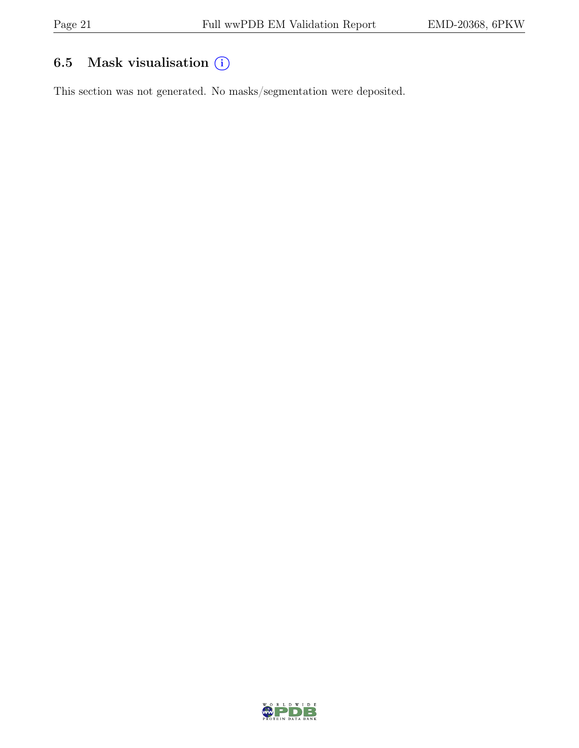## 6.5 Mask visualisation  $(i)$

This section was not generated. No masks/segmentation were deposited.

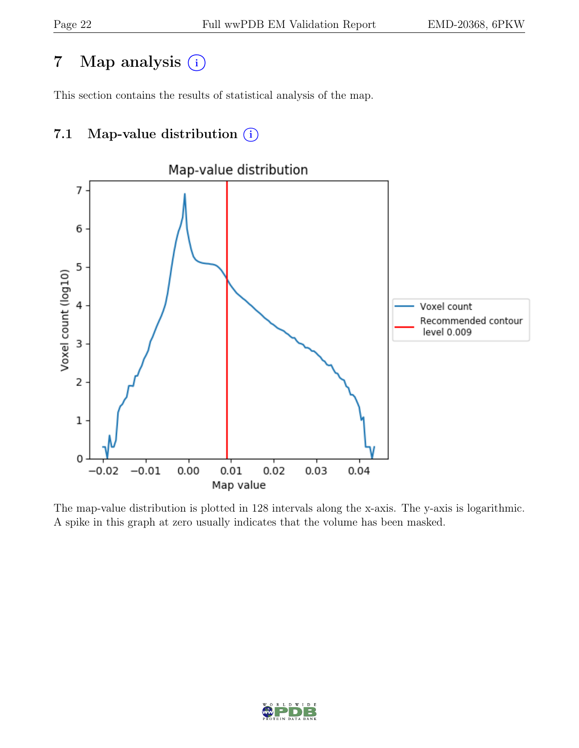## 7 Map analysis (i)

This section contains the results of statistical analysis of the map.

## 7.1 Map-value distribution  $(i)$



The map-value distribution is plotted in 128 intervals along the x-axis. The y-axis is logarithmic. A spike in this graph at zero usually indicates that the volume has been masked.

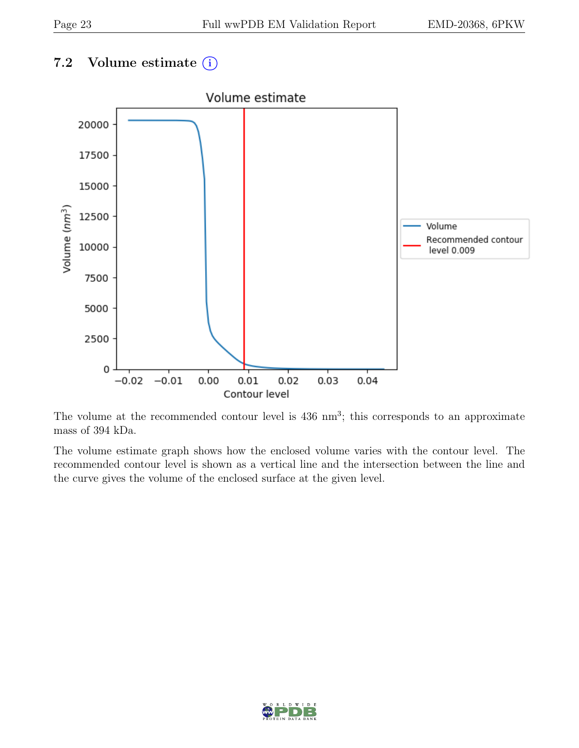## 7.2 Volume estimate  $(i)$



The volume at the recommended contour level is  $436 \text{ nm}^3$ ; this corresponds to an approximate mass of 394 kDa.

The volume estimate graph shows how the enclosed volume varies with the contour level. The recommended contour level is shown as a vertical line and the intersection between the line and the curve gives the volume of the enclosed surface at the given level.

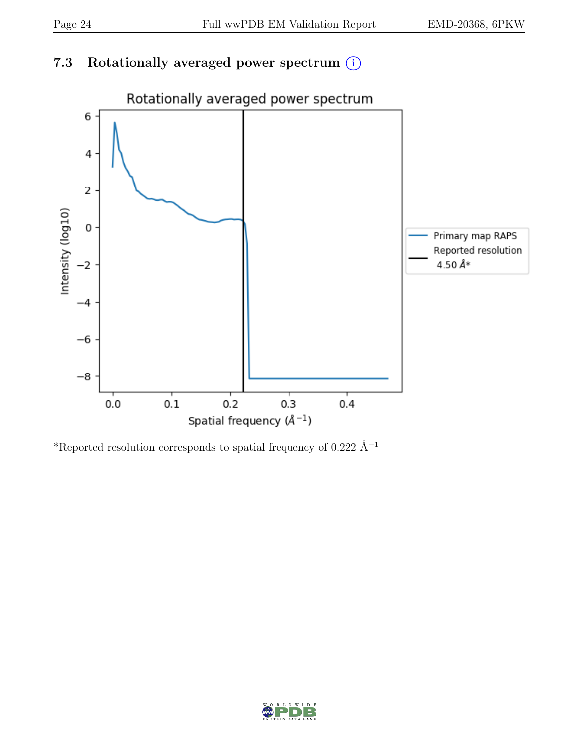## 7.3 Rotationally averaged power spectrum  $(i)$



\*Reported resolution corresponds to spatial frequency of 0.222 Å<sup>-1</sup>

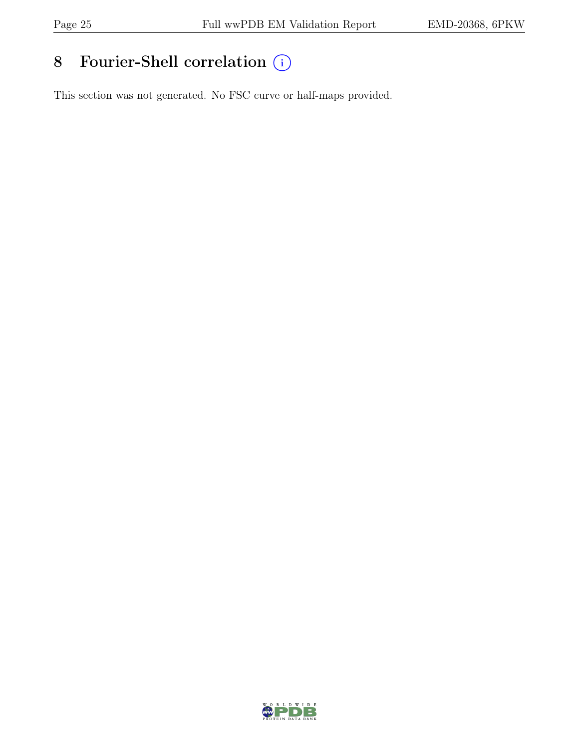# 8 Fourier-Shell correlation  $\bigcirc$

This section was not generated. No FSC curve or half-maps provided.

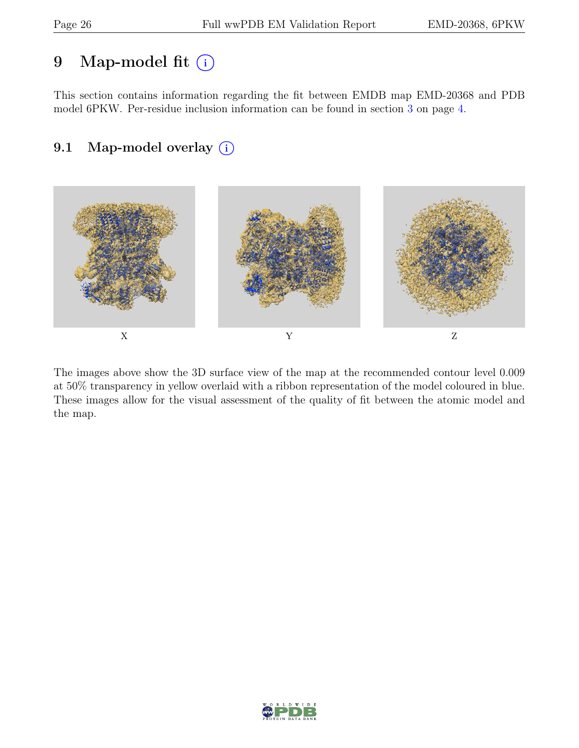## 9 Map-model fit  $(i)$

This section contains information regarding the fit between EMDB map EMD-20368 and PDB model 6PKW. Per-residue inclusion information can be found in section [3](#page-3-0) on page [4.](#page-3-0)

## 9.1 Map-model overlay (i)



The images above show the 3D surface view of the map at the recommended contour level 0.009 at 50% transparency in yellow overlaid with a ribbon representation of the model coloured in blue. These images allow for the visual assessment of the quality of fit between the atomic model and the map.